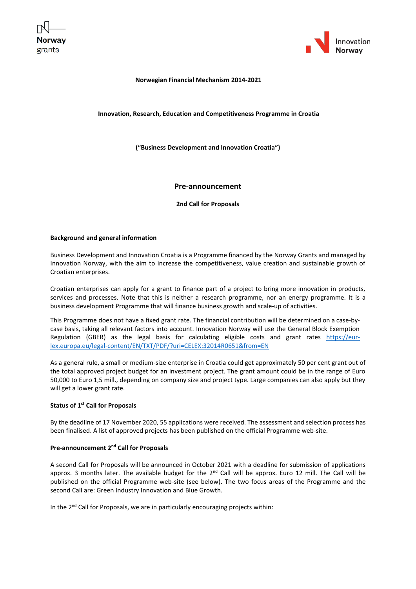



### **Norwegian Financial Mechanism 2014-2021**

### **Innovation, Research, Education and Competitiveness Programme in Croatia**

**("Business Development and Innovation Croatia")**

## **Pre-announcement**

**2nd Call for Proposals**

### **Background and general information**

Business Development and Innovation Croatia is a Programme financed by the Norway Grants and managed by Innovation Norway, with the aim to increase the competitiveness, value creation and sustainable growth of Croatian enterprises.

Croatian enterprises can apply for a grant to finance part of a project to bring more innovation in products, services and processes. Note that this is neither a research programme, nor an energy programme. It is a business development Programme that will finance business growth and scale-up of activities.

This Programme does not have a fixed grant rate. The financial contribution will be determined on a case-bycase basis, taking all relevant factors into account. Innovation Norway will use the General Block Exemption Regulation (GBER) as the legal basis for calculating eligible costs and grant rates [https://eur](https://eur-lex.europa.eu/legal-content/EN/TXT/PDF/?uri=CELEX:32014R0651&from=EN)[lex.europa.eu/legal-content/EN/TXT/PDF/?uri=CELEX:32014R0651&from=EN](https://eur-lex.europa.eu/legal-content/EN/TXT/PDF/?uri=CELEX:32014R0651&from=EN)

As a general rule, a small or medium-size enterprise in Croatia could get approximately 50 per cent grant out of the total approved project budget for an investment project. The grant amount could be in the range of Euro 50,000 to Euro 1,5 mill., depending on company size and project type. Large companies can also apply but they will get a lower grant rate.

# **Status of 1 st Call for Proposals**

By the deadline of 17 November 2020, 55 applications were received. The assessment and selection process has been finalised. A list of approved projects has been published on the official Programme web-site.

## Pre-announcement 2<sup>nd</sup> Call for Proposals

A second Call for Proposals will be announced in October 2021 with a deadline for submission of applications approx. 3 months later. The available budget for the  $2<sup>nd</sup>$  Call will be approx. Euro 12 mill. The Call will be published on the official Programme web-site (see below). The two focus areas of the Programme and the second Call are: Green Industry Innovation and Blue Growth.

In the 2<sup>nd</sup> Call for Proposals, we are in particularly encouraging projects within: